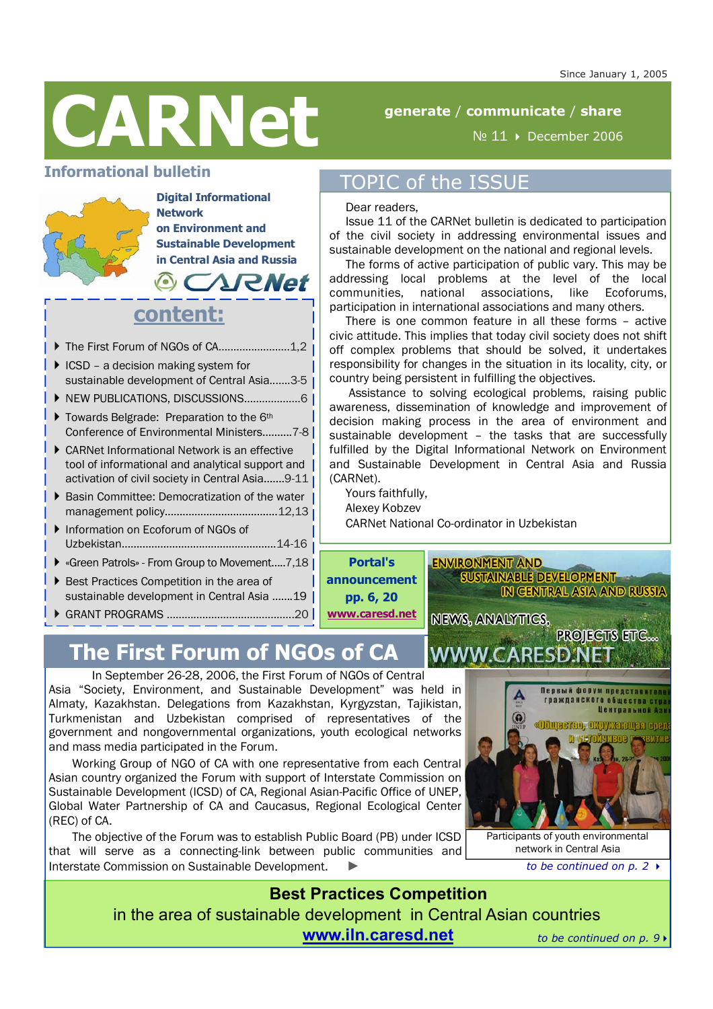

# **generate** / **communicate** / **share**

Issue 11 of the CARNet bulletin is dedicated to participation of the civil society in addressing environmental issues and sustainable development on the national and regional levels. The forms of active participation of public vary. This may be addressing local problems at the level of the local

№ 11 December 2006

# **Informational bulletin**



**Digital Informational Network on Environment and Sustainable Development in Central Asia and Russia**  *ARNet* 

# **content:**

The First Forum of NGOs of CA……………………1,2

- $\blacktriangleright$  ICSD a decision making system for sustainable development of Central Asia..…..3-5
- NEW PUBLICATIONS, DISCUSSIONS……………….6
- ▶ Towards Belgrade: Preparation to the 6<sup>th</sup> Conference of Environmental Ministers……….7-8
- CARNet Informational Network is an effective tool of informational and analytical support and activation of civil society in Central Asia.......9-11
- ▶ Basin Committee: Democratization of the water management policy………………………………..12,13
- Information on Ecoforum of NGOs of Uzbekistan…………………………………………….14-16
- ▶ «Green Patrols» From Group to Movement.....7,18 |
- ▶ Best Practices Competition in the area of sustainable development in Central Asia .......19
- GRANT PROGRAMS ……….…………………………...20

# **The First Forum of NGOs of CA**

In September 26-28, 2006, the First Forum of NGOs of Central

Asia "Society, Environment, and Sustainable Development" was held in Almaty, Kazakhstan. Delegations from Kazakhstan, Kyrgyzstan, Tajikistan, Turkmenistan and Uzbekistan comprised of representatives of the government and nongovernmental organizations, youth ecological networks and mass media participated in the Forum.

Working Group of NGO of CA with one representative from each Central Asian country organized the Forum with support of Interstate Commission on Sustainable Development (ICSD) of CA, Regional Asian-Pacific Office of UNEP, Global Water Partnership of CA and Caucasus, Regional Ecological Center (REC) of CA.

The objective of the Forum was to establish Public Board (PB) under ICSD that will serve as a connecting-link between public communities and Interstate Commission on Sustainable Development.

Первый форум предст **ГОЗЖДАНСКОГО Обществ** E.G <u> «Общаетво, окружающая ер</u>

Participants of youth environmental network in Central Asia

**PROJECTS ETC...** 

**Best Practices Competition**  in the area of sustainable development in Central Asian countries **www.iln.caresd.net** *to be continued on p. 9* 

### communities, national associations, like Ecoforums, participation in international associations and many others.

TOPIC of the ISSUE

Dear readers,

There is one common feature in all these forms – active civic attitude. This implies that today civil society does not shift off complex problems that should be solved, it undertakes responsibility for changes in the situation in its locality, city, or country being persistent in fulfilling the objectives.

 Assistance to solving ecological problems, raising public awareness, dissemination of knowledge and improvement of decision making process in the area of environment and sustainable development – the tasks that are successfully fulfilled by the Digital Informational Network on Environment and Sustainable Development in Central Asia and Russia (CARNet).

Yours faithfully,

Alexey Kobzev

CARNet National Co-ordinator in Uzbekistan

**Portal's announcement pp. 6, 20 www.caresd.net**

**SUSTAINABLE DEVELOPMENT IN CENTRAL ASIA AND RUSSIA** 

**NEWS, ANALYTICS,** 

**WWW.CARESD.N** 

**ENVIRONMENT AND** 

*to be continued on p. 2*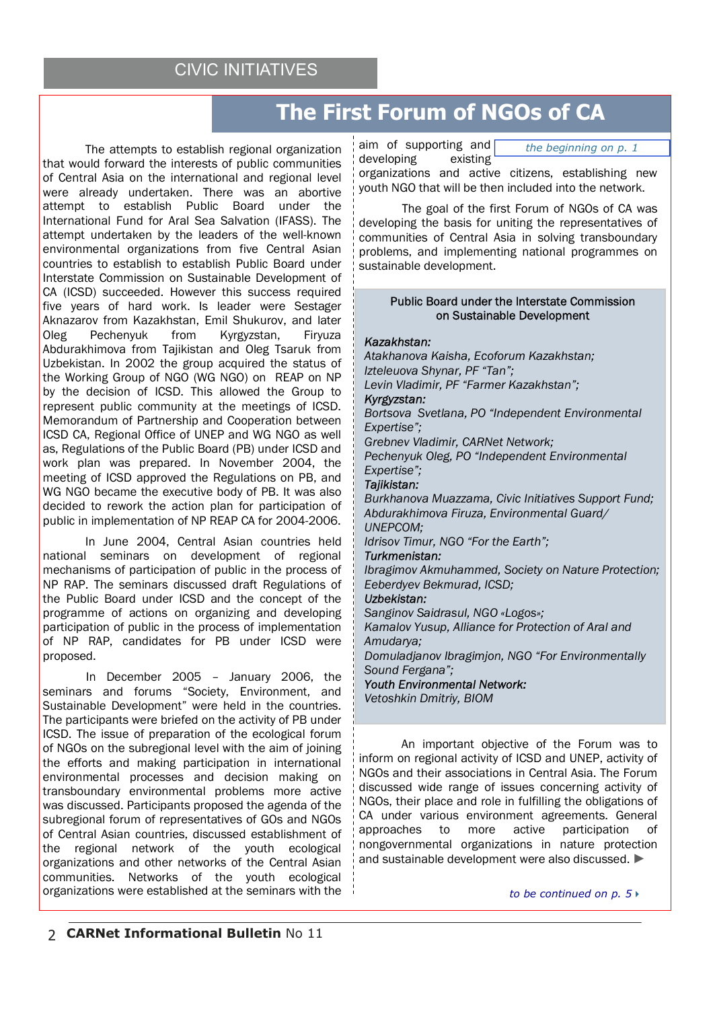# CIVIC INITIATIVES

# **The First Forum of NGOs of CA**

The attempts to establish regional organization that would forward the interests of public communities of Central Asia on the international and regional level were already undertaken. There was an abortive attempt to establish Public Board under the International Fund for Aral Sea Salvation (IFASS). The attempt undertaken by the leaders of the well-known environmental organizations from five Central Asian countries to establish to establish Public Board under Interstate Commission on Sustainable Development of CA (ICSD) succeeded. However this success required five years of hard work. Is leader were Sestager Aknazarov from Kazakhstan, Emil Shukurov, and later Oleg Pechenyuk from Kyrgyzstan, Firyuza Abdurakhimova from Tajikistan and Oleg Tsaruk from Uzbekistan. In 2002 the group acquired the status of the Working Group of NGO (WG NGO) on REAP on NP by the decision of ICSD. This allowed the Group to represent public community at the meetings of ICSD. Memorandum of Partnership and Cooperation between ICSD CA, Regional Office of UNEP and WG NGO as well as, Regulations of the Public Board (PB) under ICSD and work plan was prepared. In November 2004, the meeting of ICSD approved the Regulations on PB, and WG NGO became the executive body of PB. It was also decided to rework the action plan for participation of public in implementation of NP REAP CA for 2004-2006.

In June 2004, Central Asian countries held national seminars on development of regional mechanisms of participation of public in the process of NP RAP. The seminars discussed draft Regulations of the Public Board under ICSD and the concept of the programme of actions on organizing and developing participation of public in the process of implementation of NP RAP, candidates for PB under ICSD were proposed.

 In December 2005 – January 2006, the seminars and forums "Society, Environment, and Sustainable Development" were held in the countries. The participants were briefed on the activity of PB under ICSD. The issue of preparation of the ecological forum of NGOs on the subregional level with the aim of joining the efforts and making participation in international environmental processes and decision making on transboundary environmental problems more active was discussed. Participants proposed the agenda of the subregional forum of representatives of GOs and NGOs of Central Asian countries, discussed establishment of the regional network of the youth ecological organizations and other networks of the Central Asian communities. Networks of the youth ecological organizations were established at the seminars with the aim of supporting and developing existing

*the beginning on p. 1*

organizations and active citizens, establishing new youth NGO that will be then included into the network.

 The goal of the first Forum of NGOs of CA was developing the basis for uniting the representatives of communities of Central Asia in solving transboundary problems, and implementing national programmes on sustainable development.

### Public Board under the Interstate Commission on Sustainable Development

### *Kazakhstan:*

*Atakhanova Kaisha, Ecoforum Kazakhstan; Izteleuova Shynar, PF "Tan"; Levin Vladimir, PF "Farmer Kazakhstan"; Kyrgyzstan:* 

*Bortsova Svetlana, PO "Independent Environmental Expertise";* 

*Grebnev Vladimir, CARNet Network;* 

*Pechenyuk Oleg, PO "Independent Environmental Expertise";* 

# *Tajikistan:*

*Burkhanova Muazzama, Civic Initiatives Support Fund; Abdurakhimova Firuza, Environmental Guard/ UNEPCOM;* 

*Idrisov Timur, NGO "For the Earth";* 

### *Turkmenistan:*

*Ibragimov Akmuhammed, Society on Nature Protection; Eeberdyev Bekmurad, ICSD;* 

### *Uzbekistan:*

*Sanginov Saidrasul, NGO «Logos»; Kamalov Yusup, Alliance for Protection of Aral and Amudarya; Domuladjanov Ibragimjon, NGO "For Environmentally Sound Fergana"; Youth Environmental Network:* 

*Vetoshkin Dmitriy, BIOM* 

An important objective of the Forum was to inform on regional activity of ICSD and UNEP, activity of NGOs and their associations in Central Asia. The Forum discussed wide range of issues concerning activity of NGOs, their place and role in fulfilling the obligations of CA under various environment agreements. General approaches to more active participation of nongovernmental organizations in nature protection and sustainable development were also discussed. ►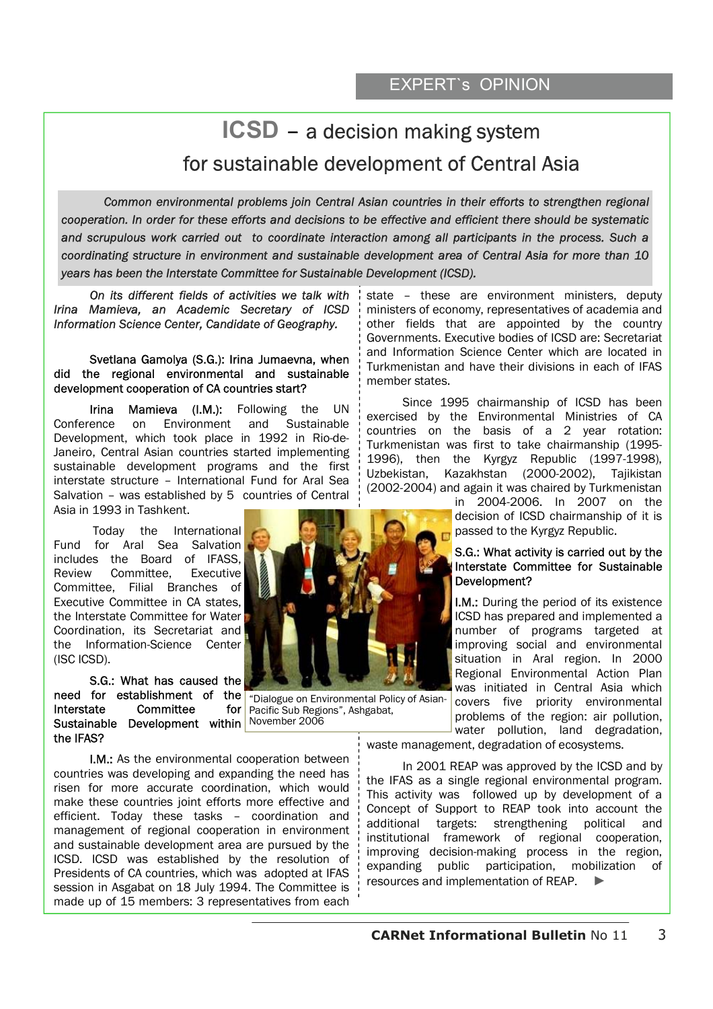# **ICSD** – a decision making system for sustainable development of Central Asia

Common environmental problems join Central Asian countries in their efforts to strengthen regional *cooperation. In order for these efforts and decisions to be effective and efficient there should be systematic and scrupulous work carried out to coordinate interaction among all participants in the process. Such a coordinating structure in environment and sustainable development area of Central Asia for more than 10 years has been the Interstate Committee for Sustainable Development (ICSD).* 

*On its different fields of activities we talk with Irina Mamieva, an Academic Secretary of ICSD Information Science Center, Candidate of Geography.* 

### Svetlana Gamolya (S.G.): Irina Jumaevna, when did the regional environmental and sustainable development cooperation of CA countries start?

Irina Mamieva (I.M.): Following the UN Conference on Environment and Sustainable Development, which took place in 1992 in Rio-de-Janeiro, Central Asian countries started implementing sustainable development programs and the first interstate structure – International Fund for Aral Sea Salvation – was established by 5 countries of Central Asia in 1993 in Tashkent.

 Today the International Fund for Aral Sea Salvation includes the Board of IFASS,<br>Review Committee. Executive Review Committee Committee, Filial Branches of Executive Committee in CA states, the Interstate Committee for Water Coordination, its Secretariat and the Information-Science Center (ISC ICSD).

S.G.: What has caused the need for establishment of the Interstate Committee for Sustainable Development within November 2006 the IFAS?

I.M.: As the environmental cooperation between countries was developing and expanding the need has risen for more accurate coordination, which would make these countries joint efforts more effective and efficient. Today these tasks – coordination and management of regional cooperation in environment and sustainable development area are pursued by the ICSD. ICSD was established by the resolution of Presidents of CA countries, which was adopted at IFAS session in Asgabat on 18 July 1994. The Committee is made up of 15 members: 3 representatives from each



"Dialogue on Environmental Policy of Asian-Pacific Sub Regions", Ashgabat,

state – these are environment ministers, deputy ministers of economy, representatives of academia and other fields that are appointed by the country Governments. Executive bodies of ICSD are: Secretariat and Information Science Center which are located in Turkmenistan and have their divisions in each of IFAS member states.

Since 1995 chairmanship of ICSD has been exercised by the Environmental Ministries of CA countries on the basis of a 2 year rotation: Turkmenistan was first to take chairmanship (1995- 1996), then the Kyrgyz Republic (1997-1998), Uzbekistan, Kazakhstan (2000-2002), Tajikistan (2002-2004) and again it was chaired by Turkmenistan

in 2004-2006. In 2007 on the decision of ICSD chairmanship of it is passed to the Kyrgyz Republic.

### S.G.: What activity is carried out by the Interstate Committee for Sustainable Development?

I.M.: During the period of its existence ICSD has prepared and implemented a number of programs targeted at improving social and environmental situation in Aral region. In 2000 Regional Environmental Action Plan was initiated in Central Asia which covers five priority environmental problems of the region: air pollution, water pollution, land degradation,

waste management, degradation of ecosystems.

In 2001 REAP was approved by the ICSD and by the IFAS as a single regional environmental program. This activity was followed up by development of a Concept of Support to REAP took into account the additional targets: strengthening political and institutional framework of regional cooperation, improving decision-making process in the region, expanding public participation, mobilization of resources and implementation of REAP.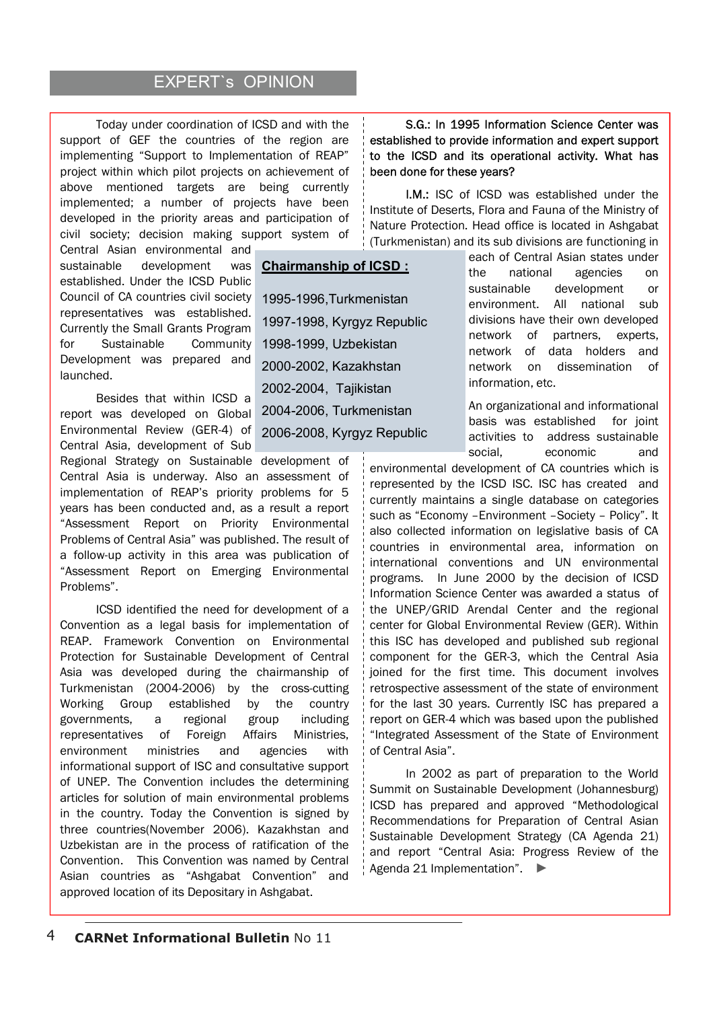# **EXPERT's OPINION**

**Chairmanship of ICSD :**

1995-1996,Turkmenistan

1998-1999, Uzbekistan 2000-2002, Kazakhstan 2002-2004, Tajikistan

2004-2006, Turkmenistan 2006-2008, Kyrgyz Republic

1997-1998, Kyrgyz Republic

Today under coordination of ICSD and with the support of GEF the countries of the region are implementing "Support to Implementation of REAP" project within which pilot projects on achievement of above mentioned targets are being currently implemented; a number of projects have been developed in the priority areas and participation of civil society; decision making support system of

Central Asian environmental and sustainable development was established. Under the ICSD Public Council of CA countries civil society representatives was established. Currently the Small Grants Program for Sustainable Community Development was prepared and launched.

Besides that within ICSD a report was developed on Global Environmental Review (GER-4) of Central Asia, development of Sub

Regional Strategy on Sustainable development of Central Asia is underway. Also an assessment of implementation of REAP's priority problems for 5 years has been conducted and, as a result a report "Assessment Report on Priority Environmental Problems of Central Asia" was published. The result of a follow-up activity in this area was publication of "Assessment Report on Emerging Environmental Problems".

ICSD identified the need for development of a Convention as a legal basis for implementation of REAP. Framework Convention on Environmental Protection for Sustainable Development of Central Asia was developed during the chairmanship of Turkmenistan (2004-2006) by the cross-cutting Working Group established by the country governments, a regional group including representatives of Foreign Affairs Ministries, environment ministries and agencies with informational support of ISC and consultative support of UNEP. The Convention includes the determining articles for solution of main environmental problems in the country. Today the Convention is signed by three countries(November 2006). Kazakhstan and Uzbekistan are in the process of ratification of the Convention. This Convention was named by Central Asian countries as "Ashgabat Convention" and approved location of its Depositary in Ashgabat.

S.G.: In 1995 Information Science Center was established to provide information and expert support to the ICSD and its operational activity. What has been done for these years?

I.M.: ISC of ICSD was established under the Institute of Deserts, Flora and Fauna of the Ministry of Nature Protection. Head office is located in Ashgabat (Turkmenistan) and its sub divisions are functioning in

> each of Central Asian states under the national agencies on sustainable development or environment. All national sub divisions have their own developed network of partners, experts, network of data holders and network on dissemination of information, etc.

> An organizational and informational basis was established for joint activities to address sustainable social, economic and

environmental development of CA countries which is represented by the ICSD ISC. ISC has created and currently maintains a single database on categories such as "Economy –Environment –Society – Policy". It also collected information on legislative basis of CA countries in environmental area, information on international conventions and UN environmental programs. In June 2000 by the decision of ICSD Information Science Center was awarded a status of the UNEP/GRID Arendal Center and the regional center for Global Environmental Review (GER). Within this ISC has developed and published sub regional component for the GER-3, which the Central Asia joined for the first time. This document involves retrospective assessment of the state of environment for the last 30 years. Currently ISC has prepared a report on GER-4 which was based upon the published "Integrated Assessment of the State of Environment of Central Asia".

In 2002 as part of preparation to the World Summit on Sustainable Development (Johannesburg) ICSD has prepared and approved "Methodological Recommendations for Preparation of Central Asian Sustainable Development Strategy (CA Agenda 21) and report "Central Asia: Progress Review of the Agenda 21 Implementation". ►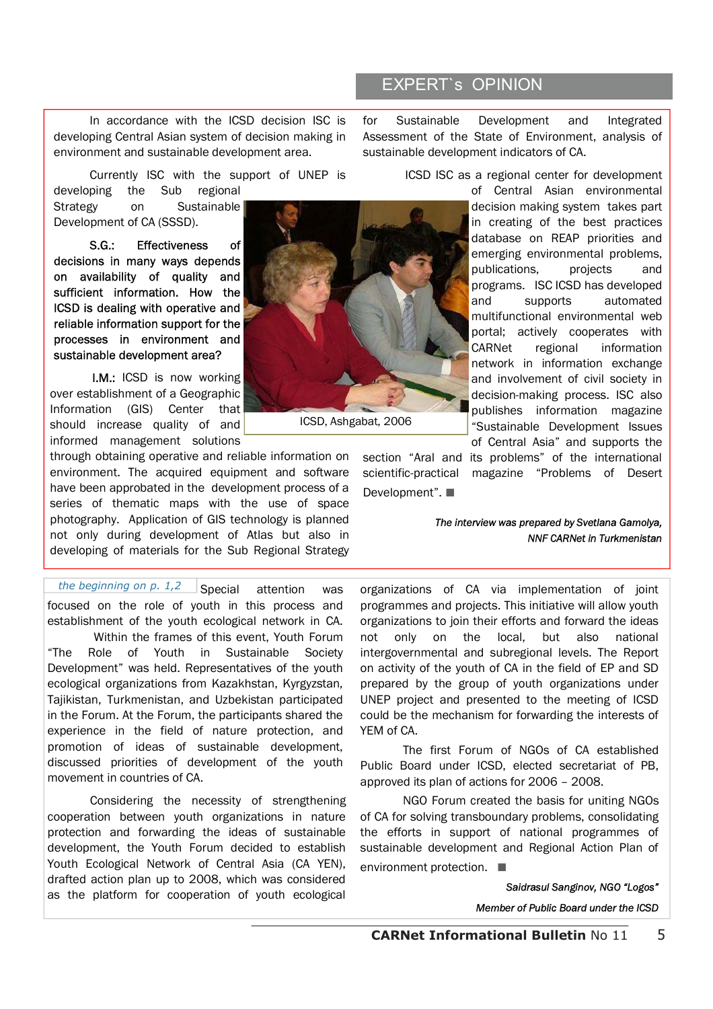In accordance with the ICSD decision ISC is developing Central Asian system of decision making in environment and sustainable development area.

Currently ISC with the support of UNEP is

developing the Sub regional Strategy on Sustainable Development of CA (SSSD).

S.G.: Effectiveness of decisions in many ways depends on availability of quality and sufficient information. How the ICSD is dealing with operative and reliable information support for the processes in environment and sustainable development area?

I.M.: ICSD is now working over establishment of a Geographic Information (GIS) Center that should increase quality of and informed management solutions

through obtaining operative and reliable information on environment. The acquired equipment and software have been approbated in the development process of a series of thematic maps with the use of space photography. Application of GIS technology is planned not only during development of Atlas but also in developing of materials for the Sub Regional Strategy

Special attention was focused on the role of youth in this process and establishment of the youth ecological network in CA. *the beginning on p. 1,2*

 Within the frames of this event, Youth Forum "The Role of Youth in Sustainable Society Development" was held. Representatives of the youth ecological organizations from Kazakhstan, Kyrgyzstan, Tajikistan, Turkmenistan, and Uzbekistan participated in the Forum. At the Forum, the participants shared the experience in the field of nature protection, and promotion of ideas of sustainable development, discussed priorities of development of the youth movement in countries of CA.

Considering the necessity of strengthening cooperation between youth organizations in nature protection and forwarding the ideas of sustainable development, the Youth Forum decided to establish Youth Ecological Network of Central Asia (CA YEN), drafted action plan up to 2008, which was considered as the platform for cooperation of youth ecological



ICSD, Ashgabat, 2006

# EXPERT`s OPINION

for Sustainable Development and Integrated Assessment of the State of Environment, analysis of sustainable development indicators of CA.

ICSD ISC as a regional center for development

of Central Asian environmental decision making system takes part in creating of the best practices database on REAP priorities and emerging environmental problems, publications, projects and programs. ISC ICSD has developed and supports automated multifunctional environmental web portal; actively cooperates with CARNet regional information network in information exchange and involvement of civil society in decision-making process. ISC also publishes information magazine "Sustainable Development Issues of Central Asia" and supports the

section "Aral and its problems" of the international scientific-practical magazine "Problems of Desert Development". ■

> *The interview was prepared by Svetlana Gamolya, NNF CARNet in Turkmenistan*

organizations of CA via implementation of joint programmes and projects. This initiative will allow youth organizations to join their efforts and forward the ideas not only on the local, but also national intergovernmental and subregional levels. The Report on activity of the youth of CA in the field of EP and SD prepared by the group of youth organizations under UNEP project and presented to the meeting of ICSD could be the mechanism for forwarding the interests of YEM of CA.

The first Forum of NGOs of CA established Public Board under ICSD, elected secretariat of PB, approved its plan of actions for 2006 – 2008.

NGO Forum created the basis for uniting NGOs of CA for solving transboundary problems, consolidating the efforts in support of national programmes of sustainable development and Regional Action Plan of environment protection. ■

*Saidrasul Sanginov, NGO "Logos"*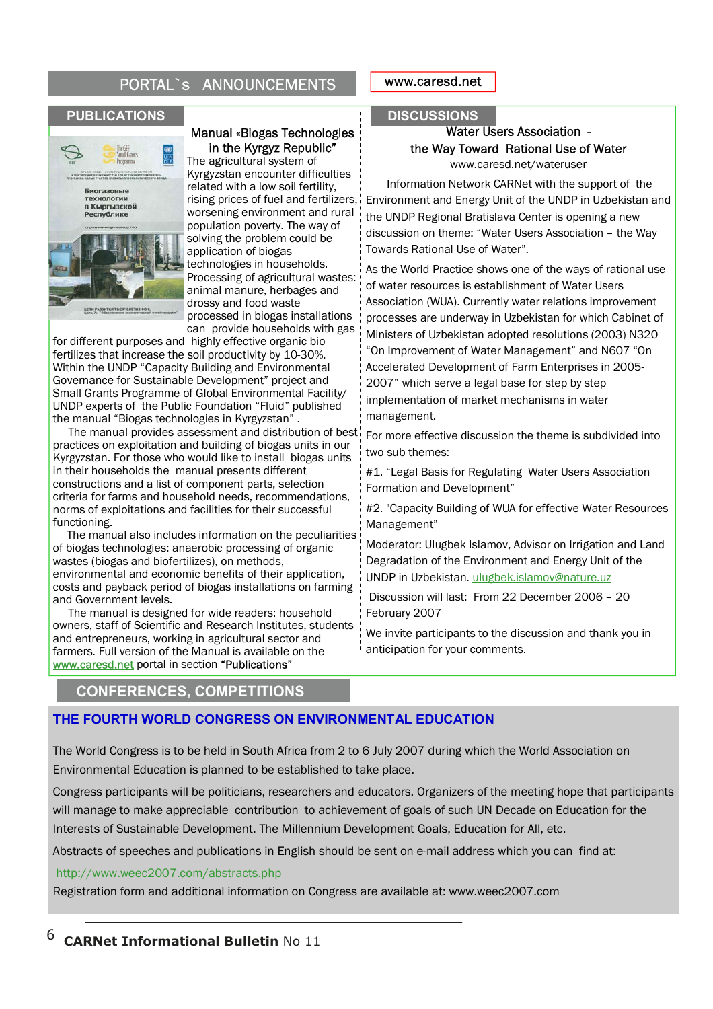# PORTAL`s ANNOUNCEMENTS



# Manual «Biogas Technologies in the Kyrgyz Republic"

The agricultural system of Kyrgyzstan encounter difficulties related with a low soil fertility, rising prices of fuel and fertilizers, worsening environment and rural population poverty. The way of solving the problem could be application of biogas technologies in households. Processing of agricultural wastes: animal manure, herbages and drossy and food waste processed in biogas installations can provide households with gas

for different purposes and highly effective organic bio fertilizes that increase the soil productivity by 10-30%. Within the UNDP "Capacity Building and Environmental Governance for Sustainable Development" project and Small Grants Programme of Global Environmental Facility/ UNDP experts of the Public Foundation "Fluid" published the manual "Biogas technologies in Kyrgyzstan" .

 The manual provides assessment and distribution of best practices on exploitation and building of biogas units in our Kyrgyzstan. For those who would like to install biogas units in their households the manual presents different constructions and a list of component parts, selection criteria for farms and household needs, recommendations, norms of exploitations and facilities for their successful functioning.

 The manual also includes information on the peculiarities of biogas technologies: anaerobic processing of organic wastes (biogas and biofertilizes), on methods, environmental and economic benefits of their application, costs and payback period of biogas installations on farming and Government levels.

 The manual is designed for wide readers: household owners, staff of Scientific and Research Institutes, students and entrepreneurs, working in agricultural sector and farmers. Full version of the Manual is available on the www.caresd.net portal in section "Publications"

## www.caresd.net

### **PUBLICATIONS**

## Water Users Association the Way Toward Rational Use of Water www.caresd.net/wateruser

 Information Network CARNet with the support of the Environment and Energy Unit of the UNDP in Uzbekistan and the UNDP Regional Bratislava Center is opening a new discussion on theme: "Water Users Association – the Way Towards Rational Use of Water".

As the World Practice shows one of the ways of rational use of water resources is establishment of Water Users Association (WUA). Currently water relations improvement processes are underway in Uzbekistan for which Cabinet of Ministers of Uzbekistan adopted resolutions (2003) N320 "On Improvement of Water Management" and N607 "On Accelerated Development of Farm Enterprises in 2005- 2007" which serve a legal base for step by step implementation of market mechanisms in water management.

For more effective discussion the theme is subdivided into two sub themes:

#1. "Legal Basis for Regulating Water Users Association Formation and Development"

#2. "Capacity Building of WUA for effective Water Resources Management"

Moderator: Ulugbek Islamov, Advisor on Irrigation and Land Degradation of the Environment and Energy Unit of the UNDP in Uzbekistan. ulugbek.islamov@nature.uz

 Discussion will last: From 22 December 2006 – 20 February 2007

We invite participants to the discussion and thank you in anticipation for your comments.

# **CONFERENCES, COMPETITIONS**

# **THE FOURTH WORLD CONGRESS ON ENVIRONMENTAL EDUCATION**

The World Congress is to be held in South Africa from 2 to 6 July 2007 during which the World Association on Environmental Education is planned to be established to take place.

Congress participants will be politicians, researchers and educators. Organizers of the meeting hope that participants will manage to make appreciable contribution to achievement of goals of such UN Decade on Education for the Interests of Sustainable Development. The Millennium Development Goals, Education for All, etc.

Abstracts of speeches and publications in English should be sent on e-mail address which you can find at:

### http://www.weec2007.com/abstracts.php

Registration form and additional information on Congress are available at: www.weec2007.com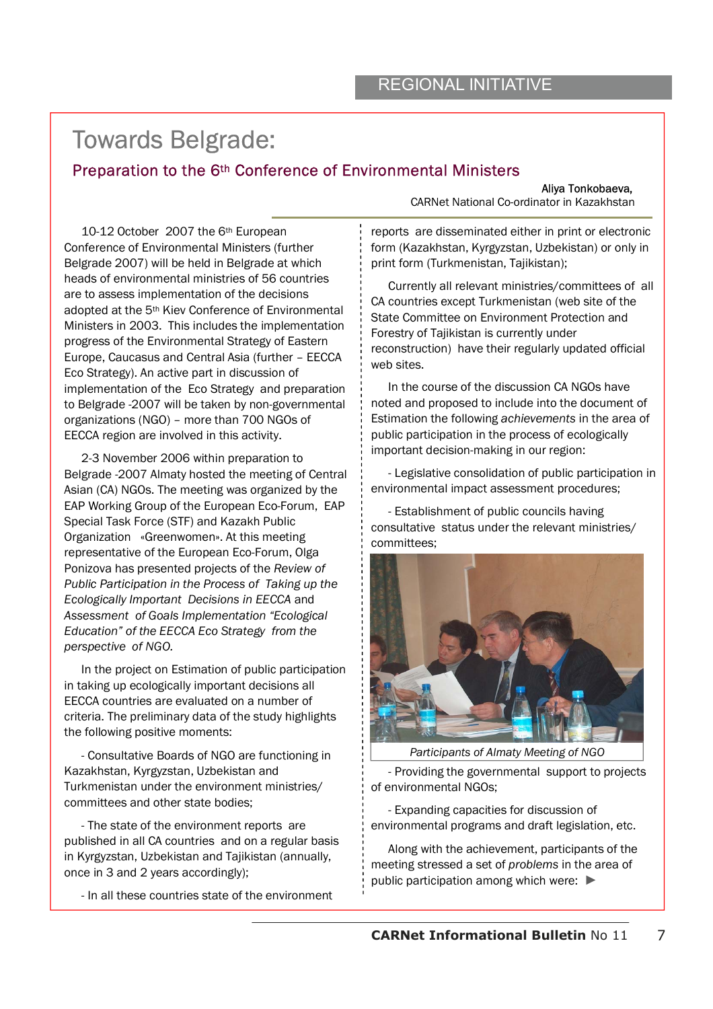# Towards Belgrade:

# Preparation to the 6<sup>th</sup> Conference of Environmental Ministers<br>Aliya Tonkobaeva,

10-12 October 2007 the 6th European Conference of Environmental Ministers (further Belgrade 2007) will be held in Belgrade at which heads of environmental ministries of 56 countries are to assess implementation of the decisions adopted at the 5th Kiev Conference of Environmental Ministers in 2003. This includes the implementation progress of the Environmental Strategy of Eastern Europe, Caucasus and Central Asia (further – EECCA Eco Strategy). An active part in discussion of implementation of the Eco Strategy and preparation to Belgrade -2007 will be taken by non-governmental organizations (NGO) – more than 700 NGOs of EECCA region are involved in this activity.

2-3 November 2006 within preparation to Belgrade -2007 Almaty hosted the meeting of Central Asian (CA) NGOs. The meeting was organized by the EAP Working Group of the European Eco-Forum, EAP Special Task Force (STF) and Kazakh Public Organization «Greenwomen». At this meeting representative of the European Eco-Forum, Olga Ponizova has presented projects of the *Review of Public Participation in the Process of Taking up the Ecologically Important Decisions in EECCA* and *Assessment of Goals Implementation "Ecological Education" of the EECCA Eco Strategy from the perspective of NGO.* 

In the project on Estimation of public participation in taking up ecologically important decisions all EECCA countries are evaluated on a number of criteria. The preliminary data of the study highlights the following positive moments:

- Consultative Boards of NGO are functioning in Kazakhstan, Kyrgyzstan, Uzbekistan and Turkmenistan under the environment ministries/ committees and other state bodies;

- The state of the environment reports are published in all CA countries and on a regular basis in Kyrgyzstan, Uzbekistan and Tajikistan (annually, once in 3 and 2 years accordingly);

- In all these countries state of the environment

CARNet National Co-ordinator in Kazakhstan

reports are disseminated either in print or electronic form (Kazakhstan, Kyrgyzstan, Uzbekistan) or only in print form (Turkmenistan, Tajikistan);

Currently all relevant ministries/committees of all CA countries except Turkmenistan (web site of the State Committee on Environment Protection and Forestry of Tajikistan is currently under reconstruction) have their regularly updated official web sites.

In the course of the discussion CA NGOs have noted and proposed to include into the document of Estimation the following *achievements* in the area of public participation in the process of ecologically important decision-making in our region:

- Legislative consolidation of public participation in environmental impact assessment procedures;

- Establishment of public councils having consultative status under the relevant ministries/ committees;



*Participants of Almaty Meeting of NGO* 

- Providing the governmental support to projects of environmental NGOs;

- Expanding capacities for discussion of environmental programs and draft legislation, etc.

Along with the achievement, participants of the meeting stressed a set of *problems* in the area of public participation among which were: ►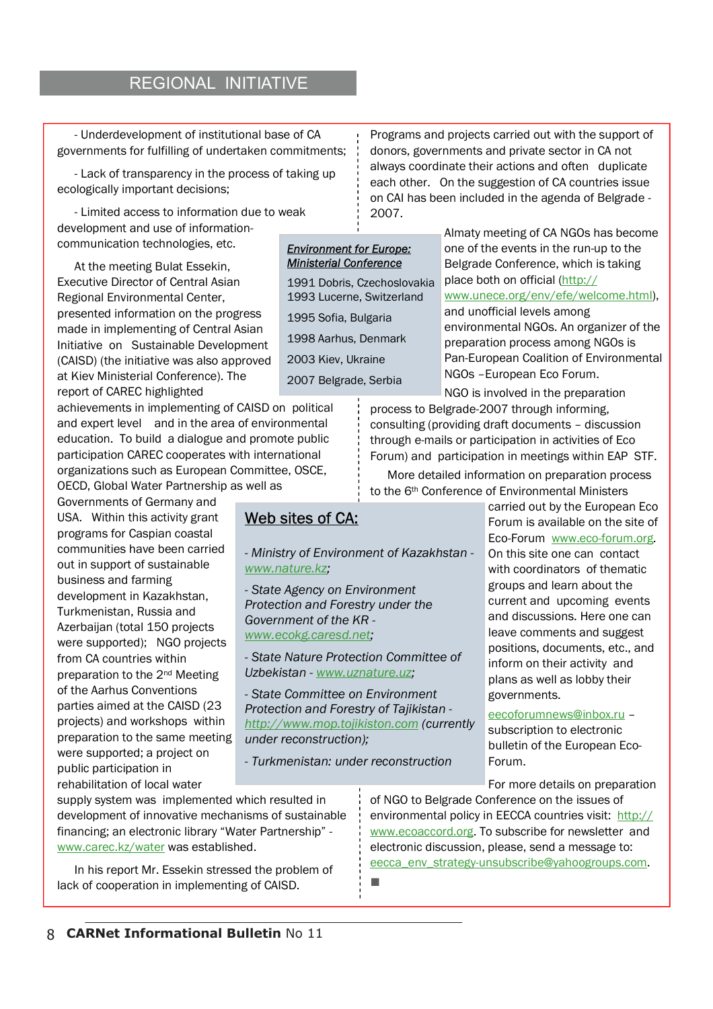# REGIONAL INITIATIVE

- Underdevelopment of institutional base of CA governments for fulfilling of undertaken commitments;

- Lack of transparency in the process of taking up ecologically important decisions;

- Limited access to information due to weak development and use of informationcommunication technologies, etc.

At the meeting Bulat Essekin, Executive Director of Central Asian Regional Environmental Center, presented information on the progress made in implementing of Central Asian Initiative on Sustainable Development (CAISD) (the initiative was also approved at Kiev Ministerial Conference). The report of CAREC highlighted

achievements in implementing of CAISD on political and expert level and in the area of environmental education. To build a dialogue and promote public participation CAREC cooperates with international organizations such as European Committee, OSCE, OECD, Global Water Partnership as well as

Governments of Germany and USA. Within this activity grant programs for Caspian coastal communities have been carried out in support of sustainable business and farming development in Kazakhstan, Turkmenistan, Russia and Azerbaijan (total 150 projects were supported); NGO projects from CA countries within preparation to the 2nd Meeting of the Aarhus Conventions parties aimed at the CAISD (23 projects) and workshops within preparation to the same meeting were supported; a project on public participation in rehabilitation of local water

Programs and projects carried out with the support of donors, governments and private sector in CA not always coordinate their actions and often duplicate each other. On the suggestion of CA countries issue on CAI has been included in the agenda of Belgrade - 2007.

# *Environment for Europe: Ministerial Conference*

1991 Dobris, Czechoslovakia 1993 Lucerne, Switzerland 1995 Sofia, Bulgaria 1998 Aarhus, Denmark 2003 Kiev, Ukraine 2007 Belgrade, Serbia

Almaty meeting of CA NGOs has become one of the events in the run-up to the Belgrade Conference, which is taking place both on official (http:// www.unece.org/env/efe/welcome.html), and unofficial levels among environmental NGOs. An organizer of the preparation process among NGOs is Pan-European Coalition of Environmental NGOs –European Eco Forum.

NGO is involved in the preparation process to Belgrade-2007 through informing, consulting (providing draft documents – discussion through e-mails or participation in activities of Eco Forum) and participation in meetings within EAP STF.

More detailed information on preparation process to the 6th Conference of Environmental Ministers

> carried out by the European Eco Forum is available on the site of Eco-Forum www.eco-forum.org. On this site one can contact with coordinators of thematic groups and learn about the current and upcoming events and discussions. Here one can leave comments and suggest positions, documents, etc., and inform on their activity and plans as well as lobby their governments.

eecoforumnews@inbox.ru – subscription to electronic bulletin of the European Eco-Forum.

For more details on preparation

of NGO to Belgrade Conference on the issues of environmental policy in EECCA countries visit: http:// www.ecoaccord.org. To subscribe for newsletter and electronic discussion, please, send a message to: eecca\_env\_strategy-unsubscribe@yahoogroups.com.

# Web sites of CA:

*- Ministry of Environment of Kazakhstan www.nature.kz;* 

*- State Agency on Environment Protection and Forestry under the Government of the KR www.ecokg.caresd.net;* 

*- State Nature Protection Committee of Uzbekistan - www.uznature.uz;* 

*- State Committee on Environment Protection and Forestry of Tajikistan http://www.mop.tojikiston.com (currently under reconstruction);* 

*- Turkmenistan: under reconstruction* 

supply system was implemented which resulted in development of innovative mechanisms of sustainable financing; an electronic library "Water Partnership" www.carec.kz/water was established.

In his report Mr. Essekin stressed the problem of lack of cooperation in implementing of CAISD.

8 **CARNet Informational Bulletin** No 11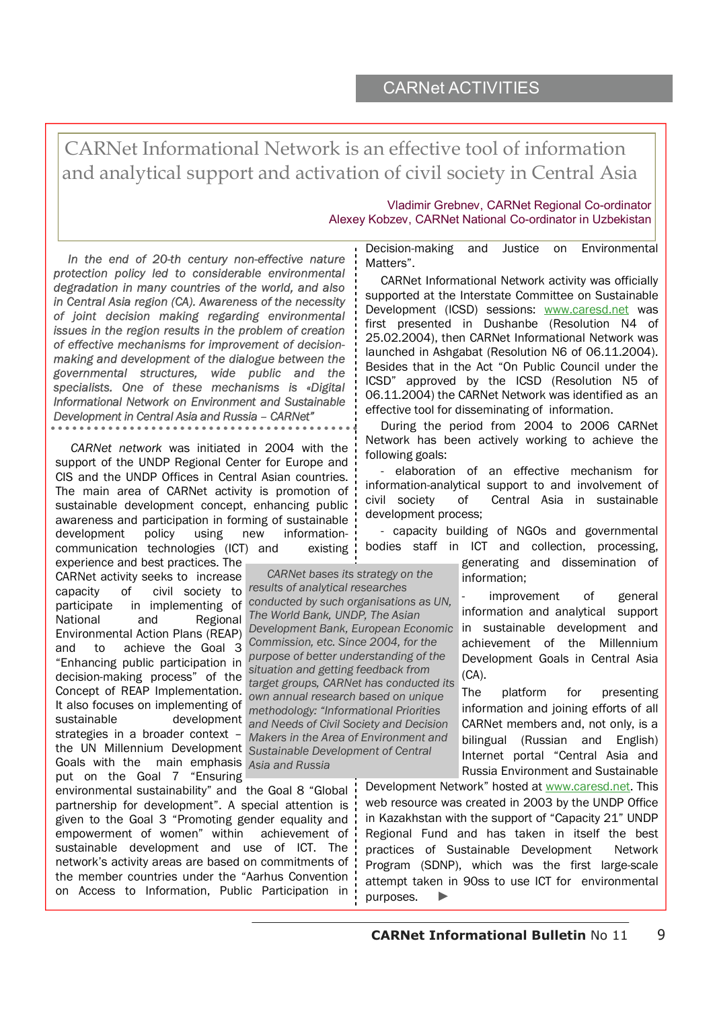CARNet Informational Network is an effective tool of information and analytical support and activation of civil society in Central Asia

### Vladimir Grebnev, CARNet Regional Co-ordinator Alexey Kobzev, CARNet National Co-ordinator in Uzbekistan

*In the end of 20-th century non-effective nature protection policy led to considerable environmental degradation in many countries of the world, and also in Central Asia region (CA). Awareness of the necessity of joint decision making regarding environmental issues in the region results in the problem of creation of effective mechanisms for improvement of decisionmaking and development of the dialogue between the governmental structures, wide public and the specialists. One of these mechanisms is «Digital Informational Network on Environment and Sustainable Development in Central Asia and Russia – CARNet"* 

*CARNet network* was initiated in 2004 with the support of the UNDP Regional Center for Europe and CIS and the UNDP Offices in Central Asian countries. The main area of CARNet activity is promotion of sustainable development concept, enhancing public awareness and participation in forming of sustainable development policy using new informationcommunication technologies (ICT) and existing

experience and best practices. The CARNet activity seeks to increase capacity of civil society to *results of analytical researches*  participate in implementing of National and Regional Environmental Action Plans (REAP) and to achieve the Goal 3 "Enhancing public participation in decision-making process" of the Concept of REAP Implementation. It also focuses on implementing of sustainable development strategies in a broader context – the UN Millennium Development Sustainable Development of Central Goals with the main emphasis *Asia and Russia* put on the Goal 7 "Ensuring

environmental sustainability" and the Goal 8 "Global partnership for development". A special attention is given to the Goal 3 "Promoting gender equality and empowerment of women" within achievement of sustainable development and use of ICT. The network's activity areas are based on commitments of the member countries under the "Aarhus Convention on Access to Information, Public Participation in

Decision-making and Justice on Environmental Matters".

CARNet Informational Network activity was officially supported at the Interstate Committee on Sustainable Development (ICSD) sessions: www.caresd.net was first presented in Dushanbe (Resolution N4 of 25.02.2004), then CARNet Informational Network was launched in Ashgabat (Resolution N6 of 06.11.2004). Besides that in the Act "On Public Council under the ICSD" approved by the ICSD (Resolution N5 of 06.11.2004) the CARNet Network was identified as an effective tool for disseminating of information.

During the period from 2004 to 2006 CARNet Network has been actively working to achieve the following goals:

- elaboration of an effective mechanism for information-analytical support to and involvement of civil society of Central Asia in sustainable development process;

- capacity building of NGOs and governmental bodies staff in ICT and collection, processing,

> generating and dissemination of information;

improvement of general information and analytical support in sustainable development and achievement of the Millennium Development Goals in Central Asia (CA).

The platform for presenting information and joining efforts of all CARNet members and, not only, is a bilingual (Russian and English) Internet portal "Central Asia and Russia Environment and Sustainable

Development Network" hosted at www.caresd.net. This web resource was created in 2003 by the UNDP Office in Kazakhstan with the support of "Capacity 21" UNDP Regional Fund and has taken in itself the best practices of Sustainable Development Network Program (SDNP), which was the first large-scale attempt taken in 90ss to use ICT for environmental purposes.

 *CARNet bases its strategy on the conducted by such organisations as UN, The World Bank, UNDP, The Asian Development Bank, European Economic Commission, etc. Since 2004, for the purpose of better understanding of the situation and getting feedback from target groups, CARNet has conducted its own annual research based on unique methodology: "Informational Priorities and Needs of Civil Society and Decision Makers in the Area of Environment and*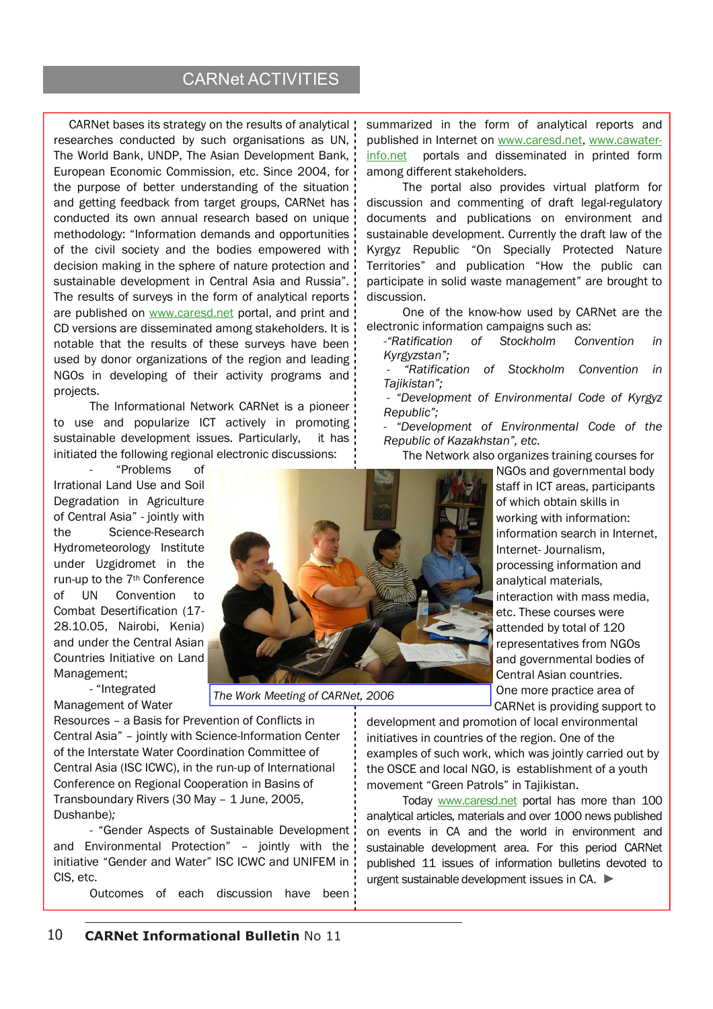# CARNet ACTIVITIES

CARNet bases its strategy on the results of analytical researches conducted by such organisations as UN, The World Bank, UNDP, The Asian Development Bank, European Economic Commission, etc. Since 2004, for the purpose of better understanding of the situation and getting feedback from target groups, CARNet has conducted its own annual research based on unique methodology: "Information demands and opportunities of the civil society and the bodies empowered with decision making in the sphere of nature protection and sustainable development in Central Asia and Russia". The results of surveys in the form of analytical reports are published on www.caresd.net portal, and print and CD versions are disseminated among stakeholders. It is notable that the results of these surveys have been used by donor organizations of the region and leading NGOs in developing of their activity programs and projects.

The Informational Network CARNet is a pioneer to use and popularize ICT actively in promoting sustainable development issues. Particularly, it has initiated the following regional electronic discussions:

- "Problems of Irrational Land Use and Soil Degradation in Agriculture of Central Asia" - jointly with the Science-Research Hydrometeorology Institute under Uzgidromet in the run-up to the 7th Conference of UN Convention to Combat Desertification (17- 28.10.05, Nairobi, Kenia) and under the Central Asian Countries Initiative on Land Management;

- "Integrated Management of Water

*The Work Meeting of CARNet, 2006*

Resources – a Basis for Prevention of Conflicts in Central Asia" – jointly with Science-Information Center of the Interstate Water Coordination Committee of Central Asia (ISC ICWC), in the run-up of International Conference on Regional Cooperation in Basins of Transboundary Rivers (30 May – 1 June, 2005, Dushanbe)*;*

- "Gender Aspects of Sustainable Development and Environmental Protection" – jointly with the initiative "Gender and Water" ISC ICWC and UNIFEM in CIS, etc.

Outcomes of each discussion have been

summarized in the form of analytical reports and published in Internet on www.caresd.net, www.cawaterinfo.net portals and disseminated in printed form among different stakeholders.

The portal also provides virtual platform for discussion and commenting of draft legal-regulatory documents and publications on environment and sustainable development. Currently the draft law of the Kyrgyz Republic "On Specially Protected Nature Territories" and publication "How the public can participate in solid waste management" are brought to discussion.

One of the know-how used by CARNet are the electronic information campaigns such as:

-*"Ratification of Stockholm Convention in Kyrgyzstan";* 

 *- "Ratification of Stockholm Convention in Tajikistan";* 

 *- "Development of Environmental Code of Kyrgyz Republic";* 

*- "Development of Environmental Code of the Republic of Kazakhstan", etc.* 

The Network also organizes training courses for

NGOs and governmental body staff in ICT areas, participants of which obtain skills in working with information: information search in Internet, Internet- Journalism, processing information and analytical materials, interaction with mass media, etc. These courses were attended by total of 120 representatives from NGOs and governmental bodies of Central Asian countries. One more practice area of CARNet is providing support to

development and promotion of local environmental initiatives in countries of the region. One of the examples of such work, which was jointly carried out by the OSCE and local NGO, is establishment of a youth movement "Green Patrols" in Tajikistan.

Today www.caresd.net portal has more than 100 analytical articles, materials and over 1000 news published on events in CA and the world in environment and sustainable development area. For this period CARNet published 11 issues of information bulletins devoted to urgent sustainable development issues in CA. ►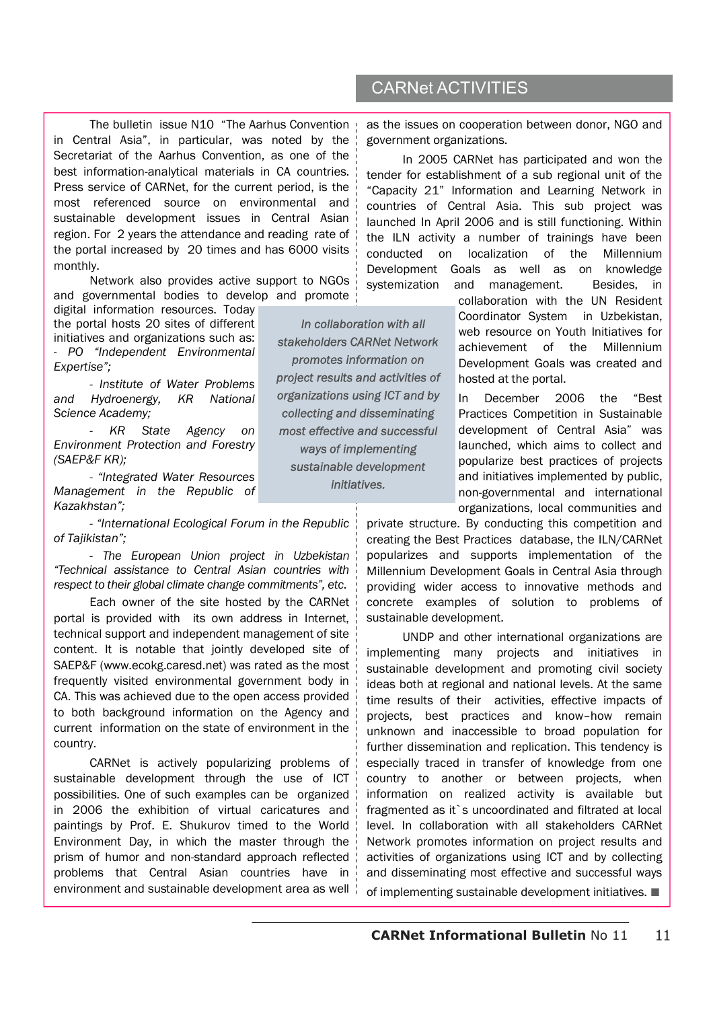The bulletin issue N10 "The Aarhus Convention in Central Asia", in particular, was noted by the Secretariat of the Aarhus Convention, as one of the best information-analytical materials in CA countries. Press service of CARNet, for the current period, is the most referenced source on environmental and sustainable development issues in Central Asian region. For 2 years the attendance and reading rate of the portal increased by 20 times and has 6000 visits monthly.

Network also provides active support to NGOs and governmental bodies to develop and promote

digital information resources. Today the portal hosts 20 sites of different initiatives and organizations such as: - *PO "Independent Environmental Expertise";* 

*- Institute of Water Problems and Hydroenergy, KR National Science Academy;* 

*- KR State Agency on Environment Protection and Forestry (SAEP&F KR);* 

*- "Integrated Water Resources Management in the Republic of Kazakhstan";* 

*- "International Ecological Forum in the Republic of Tajikistan";* 

*- The European Union project in Uzbekistan "Technical assistance to Central Asian countries with respect to their global climate change commitments", etc.* 

Each owner of the site hosted by the CARNet portal is provided with its own address in Internet, technical support and independent management of site content. It is notable that jointly developed site of SAEP&F (www.ecokg.caresd.net) was rated as the most frequently visited environmental government body in CA. This was achieved due to the open access provided to both background information on the Agency and current information on the state of environment in the country.

CARNet is actively popularizing problems of sustainable development through the use of ICT possibilities. One of such examples can be organized in 2006 the exhibition of virtual caricatures and paintings by Prof. E. Shukurov timed to the World Environment Day, in which the master through the prism of humor and non-standard approach reflected problems that Central Asian countries have in environment and sustainable development area as well

*In collaboration with all stakeholders CARNet Network promotes information on project results and activities of organizations using ICT and by collecting and disseminating most effective and successful ways of implementing sustainable development initiatives.* 

# CARNet ACTIVITIES

as the issues on cooperation between donor, NGO and government organizations.

In 2005 CARNet has participated and won the tender for establishment of a sub regional unit of the "Capacity 21" Information and Learning Network in countries of Central Asia. This sub project was launched In April 2006 and is still functioning. Within the ILN activity a number of trainings have been conducted on localization of the Millennium Development Goals as well as on knowledge systemization and management. Besides, in

> collaboration with the UN Resident Coordinator System in Uzbekistan, web resource on Youth Initiatives for achievement of the Millennium Development Goals was created and hosted at the portal.

> In December 2006 the "Best Practices Competition in Sustainable development of Central Asia" was launched, which aims to collect and popularize best practices of projects and initiatives implemented by public, non-governmental and international organizations, local communities and

private structure. By conducting this competition and creating the Best Practices database, the ILN/CARNet popularizes and supports implementation of the Millennium Development Goals in Central Asia through providing wider access to innovative methods and concrete examples of solution to problems of sustainable development.

UNDP and other international organizations are implementing many projects and initiatives in sustainable development and promoting civil society ideas both at regional and national levels. At the same time results of their activities, effective impacts of projects, best practices and know–how remain unknown and inaccessible to broad population for further dissemination and replication. This tendency is especially traced in transfer of knowledge from one country to another or between projects, when information on realized activity is available but fragmented as it`s uncoordinated and filtrated at local level. In collaboration with all stakeholders CARNet Network promotes information on project results and activities of organizations using ICT and by collecting and disseminating most effective and successful ways

of implementing sustainable development initiatives. ■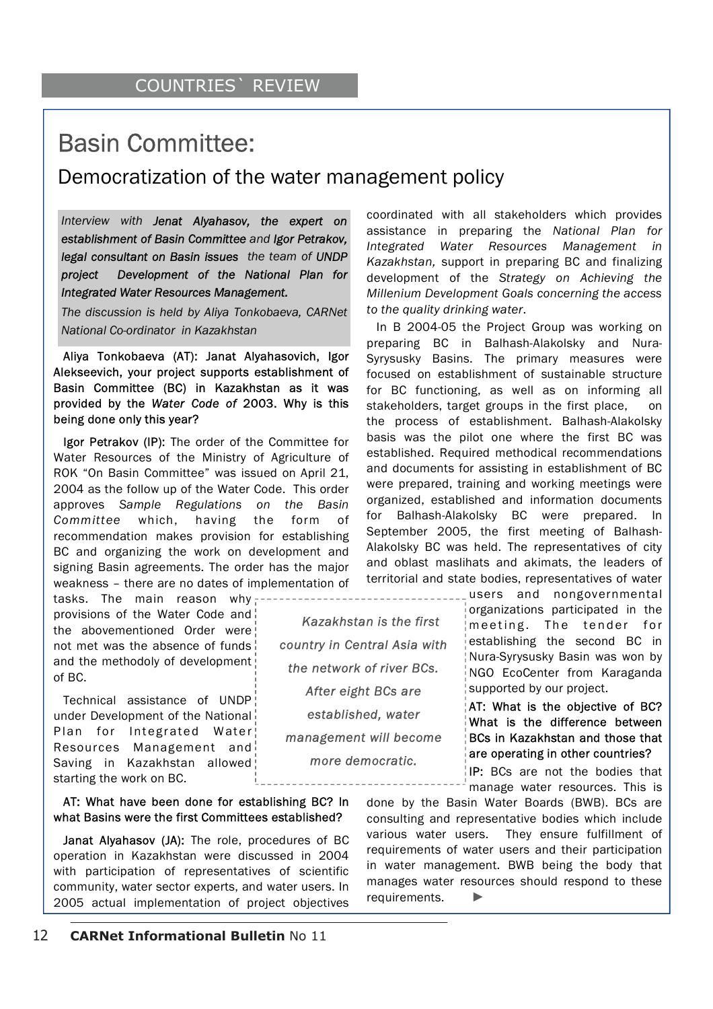# Basin Committee:

# Democratization of the water management policy

*Kazakhstan is the first* 

*country in Central Asia with the network of river BCs. After eight BCs are established, water management will become more democratic.* 

*Interview with Jenat Alyahasov, the expert on establishment of Basin Committee and Igor Petrakov, legal consultant on Basin issues the team of UNDP project Development of the National Plan for Integrated Water Resources Management.* 

*The discussion is held by Aliya Tonkobaeva, CARNet National Co-ordinator in Kazakhstan*

Aliya Tonkobaeva (АТ): Janat Alyahasovich, Igor Alekseevich, your project supports establishment of Basin Committee (BC) in Kazakhstan as it was provided by the *Water Code of* 2003. Why is this being done only this year?

Igor Petrakov (IP): The order of the Committee for Water Resources of the Ministry of Agriculture of ROK "On Basin Committee" was issued on April 21, 2004 as the follow up of the Water Code. This order approves *Sample Regulations on the Basin Committee* which, having the form of recommendation makes provision for establishing BC and organizing the work on development and signing Basin agreements. The order has the major weakness – there are no dates of implementation of

tasks. The main reason why-----provisions of the Water Code and the abovementioned Order were not met was the absence of funds and the methodoly of development of BC.

Technical assistance of UNDP under Development of the National Plan for Integrated Water Resources Management and Saving in Kazakhstan allowed starting the work on BC.

## АТ: What have been done for establishing BC? In what Basins were the first Committees established?

Janat Alyahasov (JА): The role, procedures of BC operation in Kazakhstan were discussed in 2004 with participation of representatives of scientific community, water sector experts, and water users. In 2005 actual implementation of project objectives coordinated with all stakeholders which provides assistance in preparing the *National Plan for Integrated Water Resources Management in Kazakhstan,* support in preparing BC and finalizing development of the *Strategy on Achieving the Millenium Development Goals concerning the access to the quality drinking water*.

In В 2004-05 the Project Group was working on preparing BC in Balhash-Alakolsky and Nura-Syrysusky Basins. The primary measures were focused on establishment of sustainable structure for BC functioning, as well as on informing all stakeholders, target groups in the first place, on the process of establishment. Balhash-Alakolsky basis was the pilot one where the first BC was established. Required methodical recommendations and documents for assisting in establishment of BC were prepared, training and working meetings were organized, established and information documents for Balhash-Alakolsky BC were prepared. In September 2005, the first meeting of Balhash-Alakolsky BC was held. The representatives of city and oblast maslihats and akimats, the leaders of territorial and state bodies, representatives of water

> users and nongovernmental organizations participated in the meeting. The tender for establishing the second BC in Nura-Syrysusky Basin was won by NGO EcoCenter from Karaganda supported by our project.

> АТ: What is the objective of BC? What is the difference between BCs in Kazakhstan and those that are operating in other countries?

IP: BCs are not the bodies that manage water resources. This is

done by the Basin Water Boards (BWB). BCs are consulting and representative bodies which include various water users. They ensure fulfillment of requirements of water users and their participation in water management. BWB being the body that manages water resources should respond to these requirements. ►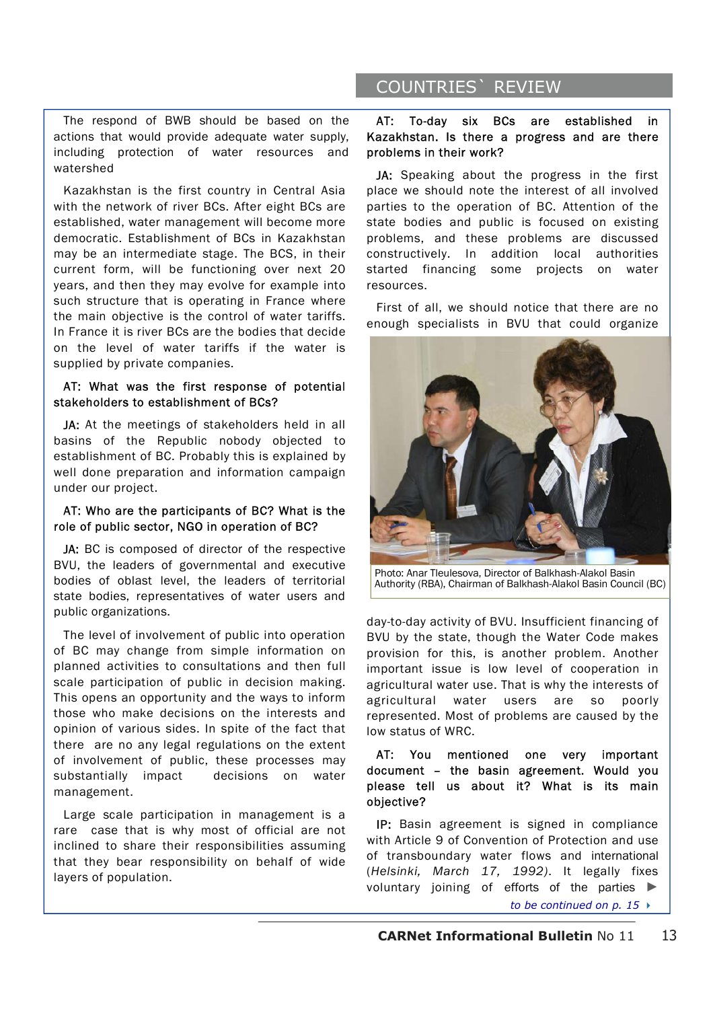## The respond of BWB should be based on the actions that would provide adequate water supply, including protection of water resources and watershed

Kazakhstan is the first country in Central Asia with the network of river BCs. After eight BCs are established, water management will become more democratic. Establishment of BCs in Kazakhstan may be an intermediate stage. The BCS, in their current form, will be functioning over next 20 years, and then they may evolve for example into such structure that is operating in France where the main objective is the control of water tariffs. In France it is river BCs are the bodies that decide on the level of water tariffs if the water is supplied by private companies.

## АТ: What was the first response of potential stakeholders to establishment of BCs?

JA: At the meetings of stakeholders held in all basins of the Republic nobody objected to establishment of BC. Probably this is explained by well done preparation and information campaign under our project.

## АТ: Who are the participants of BC? What is the role of public sector, NGO in operation of BC?

JA: BC is composed of director of the respective BVU, the leaders of governmental and executive bodies of oblast level, the leaders of territorial state bodies, representatives of water users and public organizations.

The level of involvement of public into operation of BC may change from simple information on planned activities to consultations and then full scale participation of public in decision making. This opens an opportunity and the ways to inform those who make decisions on the interests and opinion of various sides. In spite of the fact that there are no any legal regulations on the extent of involvement of public, these processes may substantially impact decisions on water management.

Large scale participation in management is a rare case that is why most of official are not inclined to share their responsibilities assuming that they bear responsibility on behalf of wide layers of population.

# COUNTRIES` REVIEW

## АТ: To-day six BCs are established in Kazakhstan. Is there a progress and are there problems in their work?

JA: Speaking about the progress in the first place we should note the interest of all involved parties to the operation of BC. Attention of the state bodies and public is focused on existing problems, and these problems are discussed constructively. In addition local authorities started financing some projects on water resources.

First of all, we should notice that there are no enough specialists in BVU that could organize



Photo: Anar Tleulesova, Director of Balkhash-Alakol Basin Authority (RBA), Chairman of Balkhash-Alakol Basin Council (BC)

day-to-day activity of BVU. Insufficient financing of BVU by the state, though the Water Code makes provision for this, is another problem. Another important issue is low level of cooperation in agricultural water use. That is why the interests of agricultural water users are so poorly represented. Most of problems are caused by the low status of WRC.

## АТ: You mentioned one very important document – the basin agreement. Would you please tell us about it? What is its main objective?

IP: Basin agreement is signed in compliance with Article 9 of Convention of Protection and use of transboundary water flows and international (*Helsinki, March 17, 1992)*. It legally fixes voluntary joining of efforts of the parties ►

*to be continued on p. 15*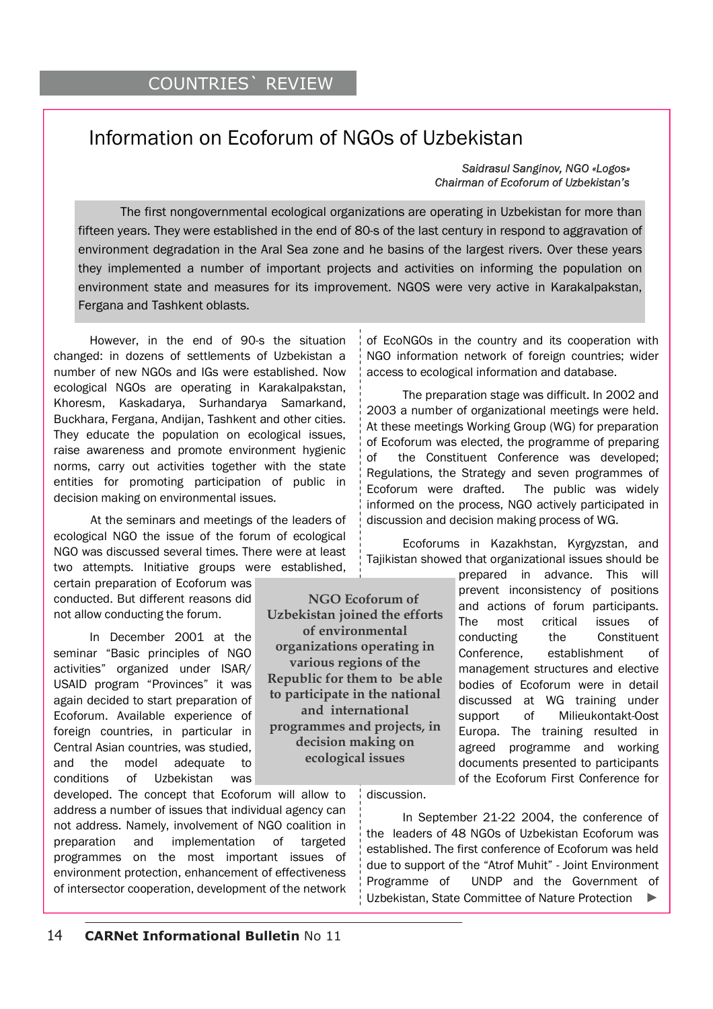# Information on Ecoforum of NGOs of Uzbekistan

 *Saidrasul Sanginov, NGO «Logos» Chairman of Ecoforum of Uzbekistan's* 

The first nongovernmental ecological organizations are operating in Uzbekistan for more than fifteen years. They were established in the end of 80-s of the last century in respond to aggravation of environment degradation in the Aral Sea zone and he basins of the largest rivers. Over these years they implemented a number of important projects and activities on informing the population on environment state and measures for its improvement. NGOS were very active in Karakalpakstan, Fergana and Tashkent oblasts.

However, in the end of 90-s the situation changed: in dozens of settlements of Uzbekistan a number of new NGOs and IGs were established. Now ecological NGOs are operating in Karakalpakstan, Khoresm, Kaskadarya, Surhandarya Samarkand, Buckhara, Fergana, Andijan, Tashkent and other cities. They educate the population on ecological issues, raise awareness and promote environment hygienic norms, carry out activities together with the state entities for promoting participation of public in decision making on environmental issues.

 At the seminars and meetings of the leaders of ecological NGO the issue of the forum of ecological NGO was discussed several times. There were at least two attempts. Initiative groups were established,

certain preparation of Ecoforum was conducted. But different reasons did not allow conducting the forum.

In December 2001 at the seminar "Basic principles of NGO activities" organized under ISAR/ USAID program "Provinces" it was again decided to start preparation of Ecoforum. Available experience of foreign countries, in particular in Central Asian countries, was studied, and the model adequate to conditions of Uzbekistan was

developed. The concept that Ecoforum will allow to address a number of issues that individual agency can not address. Namely, involvement of NGO coalition in preparation and implementation of targeted programmes on the most important issues of environment protection, enhancement of effectiveness of intersector cooperation, development of the network

NGO information network of foreign countries; wider access to ecological information and database.

of EcoNGOs in the country and its cooperation with

The preparation stage was difficult. In 2002 and 2003 a number of organizational meetings were held. At these meetings Working Group (WG) for preparation of Ecoforum was elected, the programme of preparing of the Constituent Conference was developed; Regulations, the Strategy and seven programmes of Ecoforum were drafted. The public was widely informed on the process, NGO actively participated in discussion and decision making process of WG.

Ecoforums in Kazakhstan, Kyrgyzstan, and Tajikistan showed that organizational issues should be

prepared in advance. This will prevent inconsistency of positions and actions of forum participants. The most critical issues of conducting the Constituent Conference, establishment of management structures and elective bodies of Ecoforum were in detail discussed at WG training under support of Milieukontakt-Oost Europa. The training resulted in agreed programme and working documents presented to participants of the Ecoforum First Conference for

**organizations operating in various regions of the Republic for them to be able to participate in the national and international programmes and projects, in decision making on ecological issues** 

 **NGO Ecoforum of Uzbekistan joined the efforts of environmental** 

discussion.

In September 21-22 2004, the conference of the leaders of 48 NGOs of Uzbekistan Ecoforum was established. The first conference of Ecoforum was held due to support of the "Atrof Muhit" - Joint Environment Programme of UNDP and the Government of Uzbekistan, State Committee of Nature Protection ►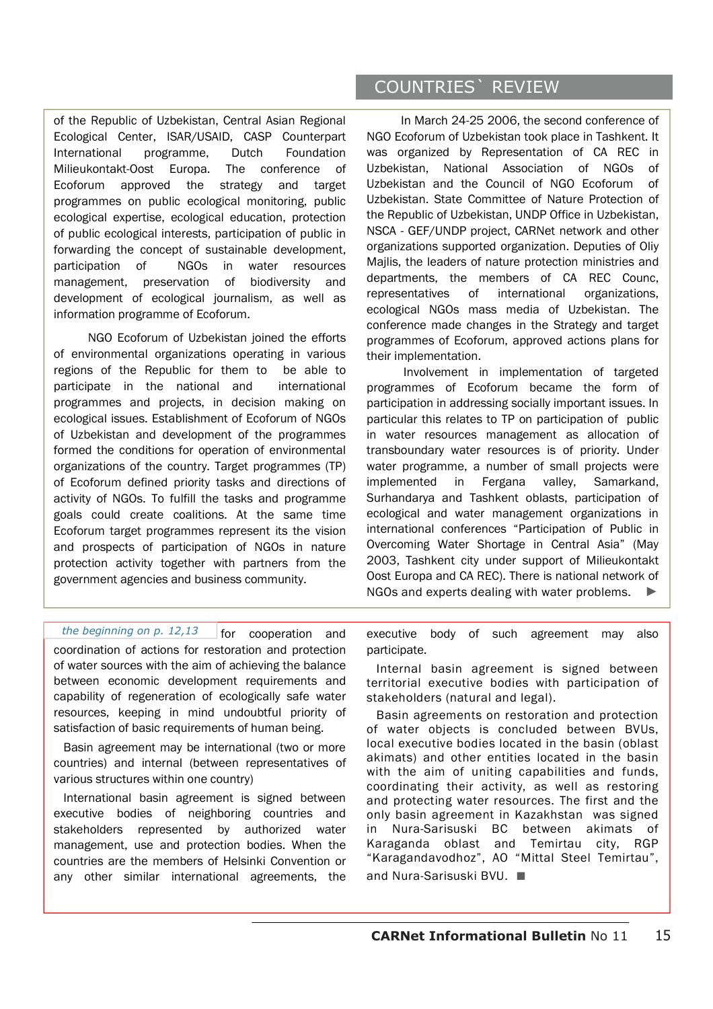of the Republic of Uzbekistan, Central Asian Regional Ecological Center, ISAR/USAID, CASP Counterpart International programme, Dutch Foundation Milieukontakt-Oost Europa. The conference of Ecoforum approved the strategy and target programmes on public ecological monitoring, public ecological expertise, ecological education, protection of public ecological interests, participation of public in forwarding the concept of sustainable development, participation of NGOs in water resources management, preservation of biodiversity and development of ecological journalism, as well as information programme of Ecoforum.

NGO Ecoforum of Uzbekistan joined the efforts of environmental organizations operating in various regions of the Republic for them to be able to participate in the national and international programmes and projects, in decision making on ecological issues. Establishment of Ecoforum of NGOs of Uzbekistan and development of the programmes formed the conditions for operation of environmental organizations of the country. Target programmes (TP) of Ecoforum defined priority tasks and directions of activity of NGOs. To fulfill the tasks and programme goals could create coalitions. At the same time Ecoforum target programmes represent its the vision and prospects of participation of NGOs in nature protection activity together with partners from the government agencies and business community.

COUNTRIES` REVIEW

In March 24-25 2006, the second conference of NGO Ecoforum of Uzbekistan took place in Tashkent. It was organized by Representation of CA REC in Uzbekistan, National Association of NGOs of Uzbekistan and the Council of NGO Ecoforum of Uzbekistan. State Committee of Nature Protection of the Republic of Uzbekistan, UNDP Office in Uzbekistan, NSCA - GEF/UNDP project, CARNet network and other organizations supported organization. Deputies of Oliy Majlis, the leaders of nature protection ministries and departments, the members of CA REC Counc, representatives of international organizations, ecological NGOs mass media of Uzbekistan. The conference made changes in the Strategy and target programmes of Ecoforum, approved actions plans for their implementation.

 Involvement in implementation of targeted programmes of Ecoforum became the form of participation in addressing socially important issues. In particular this relates to TP on participation of public in water resources management as allocation of transboundary water resources is of priority. Under water programme, a number of small projects were implemented in Fergana valley, Samarkand, Surhandarya and Tashkent oblasts, participation of ecological and water management organizations in international conferences "Participation of Public in Overcoming Water Shortage in Central Asia" (May 2003, Tashkent city under support of Milieukontakt Oost Europa and CA REC). There is national network of NGOs and experts dealing with water problems.

for cooperation and coordination of actions for restoration and protection of water sources with the aim of achieving the balance between economic development requirements and capability of regeneration of ecologically safe water resources, keeping in mind undoubtful priority of satisfaction of basic requirements of human being. *the beginning on p. 12,13*

Basin agreement may be international (two or more countries) and internal (between representatives of various structures within one country)

International basin agreement is signed between executive bodies of neighboring countries and stakeholders represented by authorized water management, use and protection bodies. When the countries are the members of Helsinki Convention or any other similar international agreements, the executive body of such agreement may also participate.

Internal basin agreement is signed between territorial executive bodies with participation of stakeholders (natural and legal).

Basin agreements on restoration and protection of water objects is concluded between BVUs, local executive bodies located in the basin (oblast akimats) and other entities located in the basin with the aim of uniting capabilities and funds, coordinating their activity, as well as restoring and protecting water resources. The first and the only basin agreement in Kazakhstan was signed in Nura-Sarisuski BC between akimats of Karaganda oblast and Temirtau city, RGP "Karagandavodhoz", AO "Mittal Steel Temirtau", and Nura-Sarisuski BVU. ■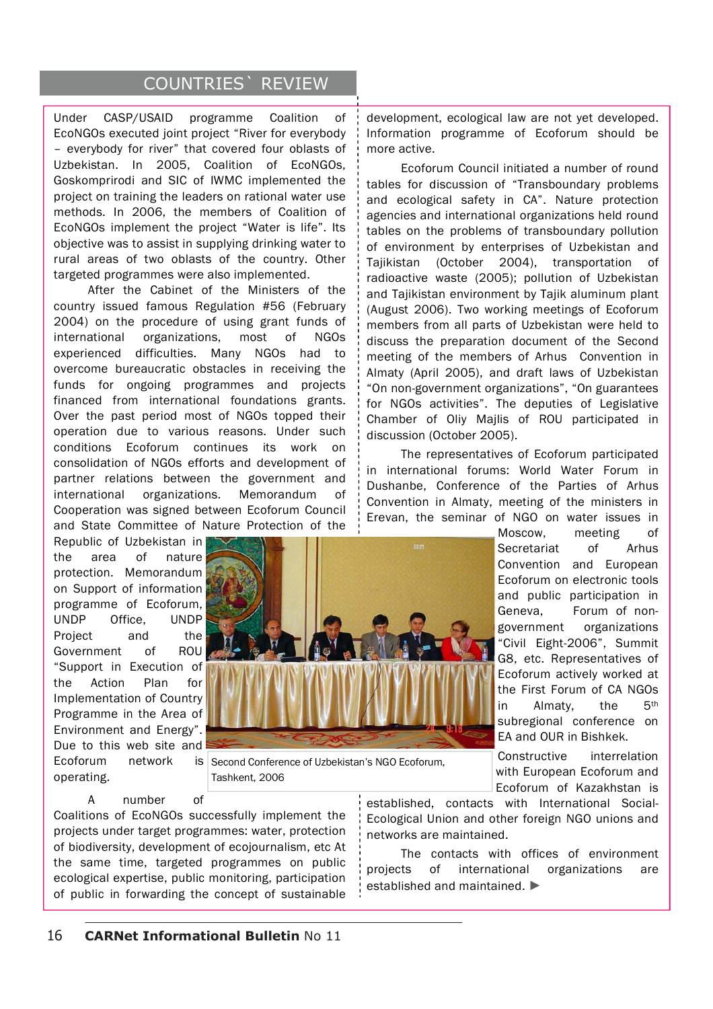# COUNTRIES` REVIEW

Under CASP/USAID programme Coalition of EcoNGOs executed joint project "River for everybody – everybody for river" that covered four oblasts of Uzbekistan. In 2005, Coalition of EcoNGOs, Goskomprirodi and SIC of IWMC implemented the project on training the leaders on rational water use methods. In 2006, the members of Coalition of EcoNGOs implement the project "Water is life". Its objective was to assist in supplying drinking water to rural areas of two oblasts of the country. Other targeted programmes were also implemented.

After the Cabinet of the Ministers of the country issued famous Regulation #56 (February 2004) on the procedure of using grant funds of international organizations, most of NGOs experienced difficulties. Many NGOs had to overcome bureaucratic obstacles in receiving the funds for ongoing programmes and projects financed from international foundations grants. Over the past period most of NGOs topped their operation due to various reasons. Under such conditions Ecoforum continues its work on consolidation of NGOs efforts and development of partner relations between the government and international organizations. Memorandum of Cooperation was signed between Ecoforum Council and State Committee of Nature Protection of the

Republic of Uzbekistan in the area of nature protection. Memorandum on Support of information programme of Ecoforum, UNDP Office, UNDP Project and the Government of ROU "Support in Execution of the Action Plan for Implementation of Country Programme in the Area of Environment and Energy". Due to this web site and Ecoforum network operating.



is Second Conference of Uzbekistan's NGO Ecoforum, Tashkent, 2006

A number of

Coalitions of EcoNGOs successfully implement the projects under target programmes: water, protection of biodiversity, development of ecojournalism, etc At the same time, targeted programmes on public ecological expertise, public monitoring, participation of public in forwarding the concept of sustainable development, ecological law are not yet developed. Information programme of Ecoforum should be more active.

Ecoforum Council initiated a number of round tables for discussion of "Transboundary problems and ecological safety in CA". Nature protection agencies and international organizations held round tables on the problems of transboundary pollution of environment by enterprises of Uzbekistan and Tajikistan (October 2004), transportation of radioactive waste (2005); pollution of Uzbekistan and Tajikistan environment by Tajik aluminum plant (August 2006). Two working meetings of Ecoforum members from all parts of Uzbekistan were held to discuss the preparation document of the Second meeting of the members of Arhus Convention in Almaty (April 2005), and draft laws of Uzbekistan "On non-government organizations", "On guarantees for NGOs activities". The deputies of Legislative Chamber of Oliy Majlis of ROU participated in discussion (October 2005).

The representatives of Ecoforum participated in international forums: World Water Forum in Dushanbe, Conference of the Parties of Arhus Convention in Almaty, meeting of the ministers in Erevan, the seminar of NGO on water issues in

> Moscow, meeting of Secretariat of Arhus Convention and European Ecoforum on electronic tools and public participation in Geneva, Forum of nongovernment organizations "Civil Eight-2006", Summit G8, etc. Representatives of Ecoforum actively worked at the First Forum of CA NGOs in Almaty, the 5<sup>th</sup> subregional conference on EA and OUR in Bishkek.

Constructive interrelation with European Ecoforum and Ecoforum of Kazakhstan is

established, contacts with International Social-Ecological Union and other foreign NGO unions and networks are maintained.

The contacts with offices of environment projects of international organizations are established and maintained. ►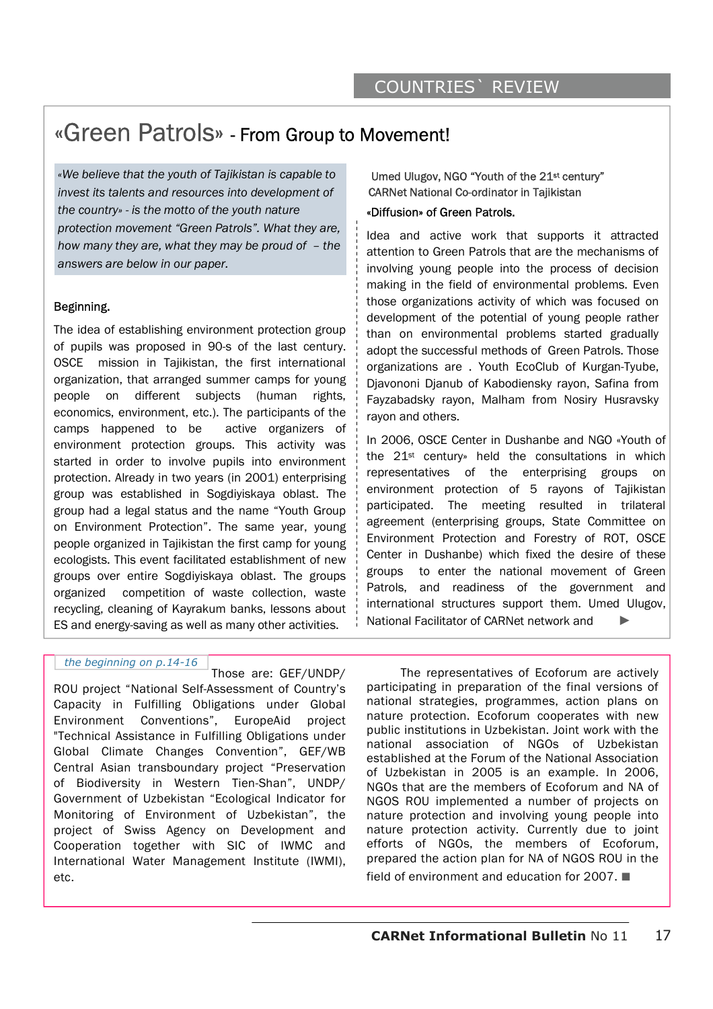# «Green Patrols» - From Group to Movement!

*«We believe that the youth of Tajikistan is capable to invest its talents and resources into development of the country» - is the motto of the youth nature protection movement "Green Patrols". What they are, how many they are, what they may be proud of – the answers are below in our paper.* 

## Beginning.

The idea of establishing environment protection group of pupils was proposed in 90-s of the last century. OSCE mission in Tajikistan, the first international organization, that arranged summer camps for young people on different subjects (human rights, economics, environment, etc.). The participants of the camps happened to be active organizers of environment protection groups. This activity was started in order to involve pupils into environment protection. Already in two years (in 2001) enterprising group was established in Sogdiyiskaya oblast. The group had a legal status and the name "Youth Group on Environment Protection". The same year, young people organized in Tajikistan the first camp for young ecologists. This event facilitated establishment of new groups over entire Sogdiyiskaya oblast. The groups organized competition of waste collection, waste recycling, cleaning of Kayrakum banks, lessons about ES and energy-saving as well as many other activities.

# «Diffusion» of Green Patrols. Umed Ulugov, NGO "Youth of the 21st century" CARNet National Co-ordinator in Tajikistan

Idea and active work that supports it attracted attention to Green Patrols that are the mechanisms of involving young people into the process of decision making in the field of environmental problems. Even those organizations activity of which was focused on development of the potential of young people rather than on environmental problems started gradually adopt the successful methods of Green Patrols. Those organizations are . Youth EcoClub of Kurgan-Tyube, Djavononi Djanub of Kabodiensky rayon, Safina from Fayzabadsky rayon, Malham from Nosiry Husravsky rayon and others.

In 2006, OSCE Center in Dushanbe and NGO «Youth of the 21st century» held the consultations in which representatives of the enterprising groups on environment protection of 5 rayons of Tajikistan participated. The meeting resulted in trilateral agreement (enterprising groups, State Committee on Environment Protection and Forestry of ROT, OSCE Center in Dushanbe) which fixed the desire of these groups to enter the national movement of Green Patrols, and readiness of the government and international structures support them. Umed Ulugov, National Facilitator of CARNet network and ►

### *the beginning on p.14-16*

Those are: GEF/UNDP/ ROU project "National Self-Assessment of Country's Capacity in Fulfilling Obligations under Global Environment Conventions", EuropeAid project "Technical Assistance in Fulfilling Obligations under Global Climate Changes Convention", GEF/WB Central Asian transboundary project "Preservation of Biodiversity in Western Tien-Shan", UNDP/ Government of Uzbekistan "Ecological Indicator for Monitoring of Environment of Uzbekistan", the project of Swiss Agency on Development and Cooperation together with SIC of IWMC and International Water Management Institute (IWMI), etc.

 The representatives of Ecoforum are actively participating in preparation of the final versions of national strategies, programmes, action plans on nature protection. Ecoforum cooperates with new public institutions in Uzbekistan. Joint work with the national association of NGOs of Uzbekistan established at the Forum of the National Association of Uzbekistan in 2005 is an example. In 2006, NGOs that are the members of Ecoforum and NA of NGOS ROU implemented a number of projects on nature protection and involving young people into nature protection activity. Currently due to joint efforts of NGOs, the members of Ecoforum, prepared the action plan for NA of NGOS ROU in the field of environment and education for 2007. ■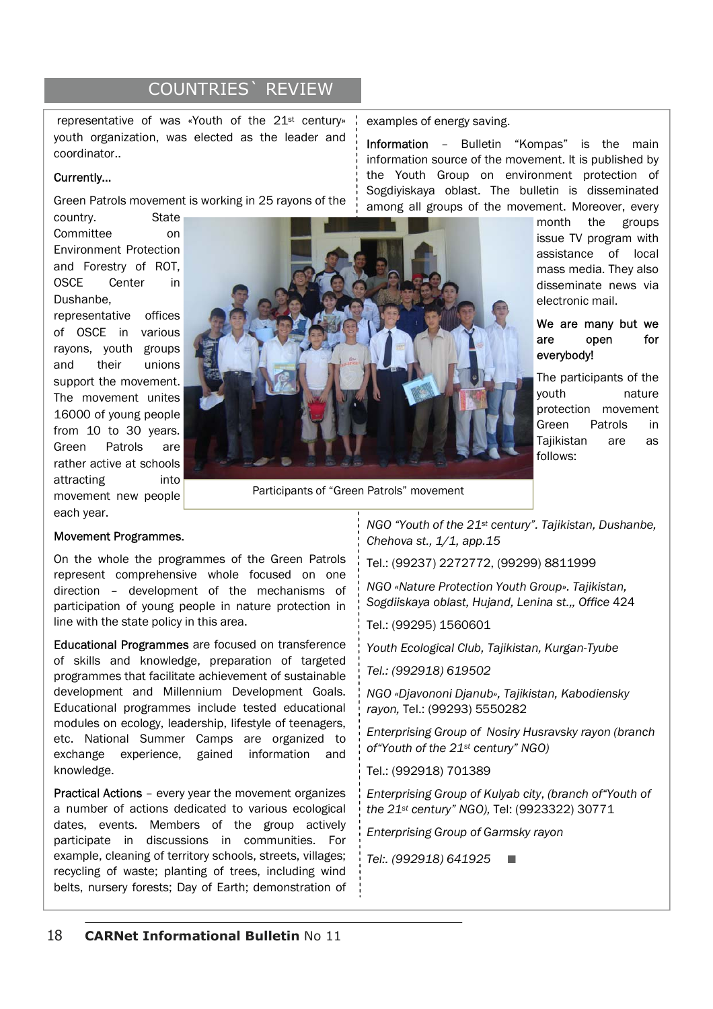# COUNTRIES` REVIEW

 representative of was «Youth of the 21st century» youth organization, was elected as the leader and coordinator..

## Currently…

Green Patrols movement is working in 25 rayons of the

country. State Committee on Environment Protection and Forestry of ROT, OSCE Center in Dushanbe,

representative offices of OSCE in various rayons, youth groups and their unions support the movement. The movement unites 16000 of young people from 10 to 30 years. Green Patrols are rather active at schools attracting into movement new people each year.



Participants of "Green Patrols" movement

### Movement Programmes.

On the whole the programmes of the Green Patrols represent comprehensive whole focused on one direction – development of the mechanisms of participation of young people in nature protection in line with the state policy in this area.

Educational Programmes are focused on transference of skills and knowledge, preparation of targeted programmes that facilitate achievement of sustainable development and Millennium Development Goals. Educational programmes include tested educational modules on ecology, leadership, lifestyle of teenagers, etc. National Summer Camps are organized to exchange experience, gained information and knowledge.

Practical Actions – every year the movement organizes a number of actions dedicated to various ecological dates, events. Members of the group actively participate in discussions in communities. For example, cleaning of territory schools, streets, villages; recycling of waste; planting of trees, including wind belts, nursery forests; Day of Earth; demonstration of *NGO "Youth of the 21st century". Tajikistan, Dushanbe, Chehova st., 1/1, app.15*

Information – Bulletin "Kompas" is the main information source of the movement. It is published by the Youth Group on environment protection of

Tel.: (99237) 2272772, (99299) 8811999

*NGO «Nature Protection Youth Group». Tajikistan, Sogdiiskaya oblast, Hujand, Lenina st.,, Office* 424

Tel.: (99295) 1560601

examples of energy saving.

*Youth Ecological Club, Tajikistan, Kurgan-Tyube* 

*Tel.: (992918) 619502* 

*NGO «Djavononi Djanub», Tajikistan, Kabodiensky rayon,* Tel.: (99293) 5550282

*Enterprising Group of Nosiry Husravsky rayon (branch of"Youth of the 21st century" NGO)*

Tel.: (992918) 701389

*Enterprising Group of Kulyab city*, *(branch of"Youth of the 21st century" NGO),* Tel: (9923322) 30771

*Enterprising Group of Garmsky rayon* 

*Tel:. (992918) 641925* ■

Sogdiyiskaya oblast. The bulletin is disseminated among all groups of the movement. Moreover, every month the groups issue TV program with assistance of local mass media. They also disseminate news via

electronic mail.

We are many but we are open for everybody!

The participants of the youth nature protection movement Green Patrols in Tajikistan are as follows: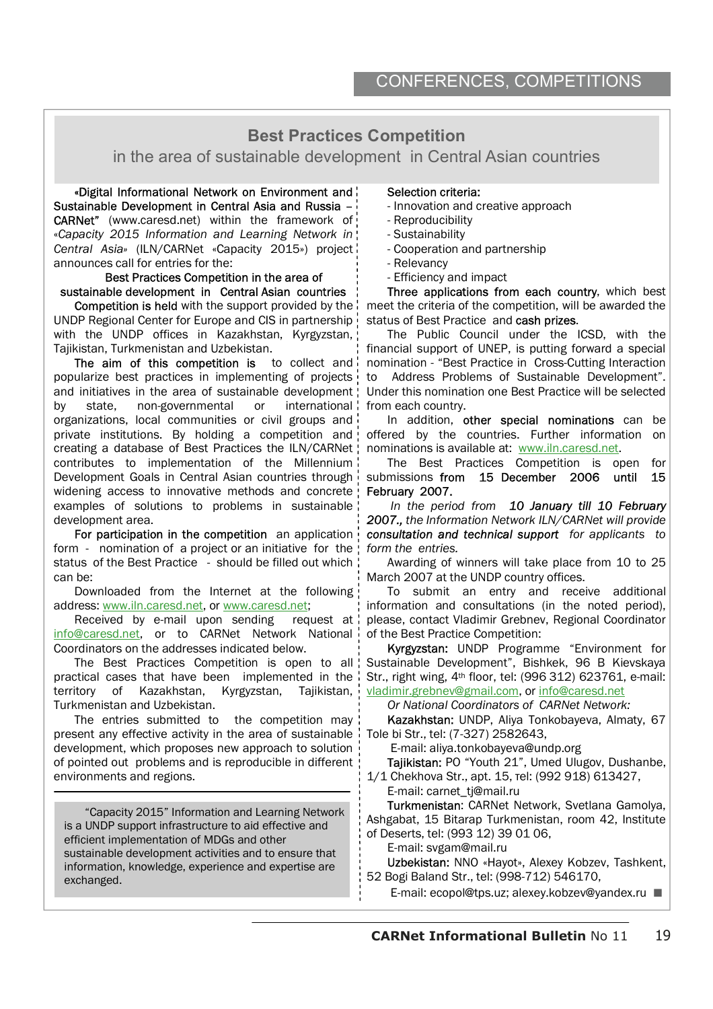# **Best Practices Competition**

in the area of sustainable development in Central Asian countries

«Digital Informational Network on Environment and Sustainable Development in Central Asia and Russia – CARNet" (www.caresd.net) within the framework of «*Capacity 2015 Information and Learning Network in Central Asia»* (ILN/CARNet «Capacity 2015») project announces call for entries for the:

### Best Practices Competition in the area of sustainable development in Central Asian countries

Competition is held with the support provided by the UNDP Regional Center for Europe and CIS in partnership with the UNDP offices in Kazakhstan, Kyrgyzstan, Tajikistan, Turkmenistan and Uzbekistan.

The aim of this competition is to collect and popularize best practices in implementing of projects and initiatives in the area of sustainable development by state, non-governmental or international organizations, local communities or civil groups and private institutions. By holding a competition and creating a database of Best Practices the ILN/CARNet contributes to implementation of the Millennium Development Goals in Central Asian countries through widening access to innovative methods and concrete examples of solutions to problems in sustainable development area.

For participation in the competition an application form - nomination of a project or an initiative for the status of the Best Practice - should be filled out which can be:

Downloaded from the Internet at the following address: www.iln.caresd.net, or www.caresd.net;

Received by e-mail upon sending request at info@caresd.net, or to CARNet Network National Coordinators on the addresses indicated below.

The Best Practices Competition is open to all practical cases that have been implemented in the territory of Kazakhstan, Kyrgyzstan, Tajikistan, Turkmenistan and Uzbekistan.

The entries submitted to the competition may present any effective activity in the area of sustainable development, which proposes new approach to solution of pointed out problems and is reproducible in different environments and regions.

 $\overline{a}$ 

"Capacity 2015" Information and Learning Network is a UNDP support infrastructure to aid effective and efficient implementation of MDGs and other sustainable development activities and to ensure that information, knowledge, experience and expertise are exchanged.

## Selection criteria:

- Innovation and creative approach
- Reproducibility
- Sustainability
- Cooperation and partnership
- Relevancy
- Efficiency and impact

Three applications from each country, which best meet the criteria of the competition, will be awarded the status of Best Practice and cash prizes.

The Public Council under the ICSD, with the financial support of UNEP, is putting forward a special nomination - "Best Practice in Cross-Cutting Interaction to Address Problems of Sustainable Development". Under this nomination one Best Practice will be selected from each country.

In addition, other special nominations can be offered by the countries. Further information on nominations is available at: www.iln.caresd.net.

The Best Practices Competition is open for submissions from 15 December 2006 until 15 February 2007.

 *In the period from 10 January till 10 February 2007., the Information Network ILN/CARNet will provide consultation and technical support for applicants to form the entries.* 

Awarding of winners will take place from 10 to 25 March 2007 at the UNDP country offices.

To submit an entry and receive additional information and consultations (in the noted period), please, contact Vladimir Grebnev, Regional Coordinator of the Best Practice Competition:

Kyrgyzstan: UNDP Programme "Environment for Sustainable Development", Bishkek, 96 B Kievskaya Str., right wing, 4th floor, tel: (996 312) 623761, e-mail: vladimir.grebnev@gmail.com, or info@caresd.net

*Or National Coordinators of CARNet Network:* 

Kazakhstan: UNDP, Aliya Tonkobayeva, Almaty, 67 Tole bi Str., tel: (7-327) 2582643,

E-mail: aliya.tonkobayeva@undp.org

Tajikistan: PO "Youth 21", Umed Ulugov, Dushanbe, 1/1 Chekhova Str., apt. 15, теl: (992 918) 613427,

E-mail: carnet\_tj@mail.ru

Turkmenistan: CARNet Network, Svetlana Gamolya, Ashgabat, 15 Bitarap Turkmenistan, room 42, Institute of Deserts, tel: (993 12) 39 01 06,

E-mail: svgam@mail.ru

Uzbekistan: NNO «Hayot», Alexey Kobzev, Tashkent, 52 Bogi Baland Str., tel: (998-712) 546170,

E-mail: ecopol@tps.uz; alexey.kobzev@yandex.ru ■